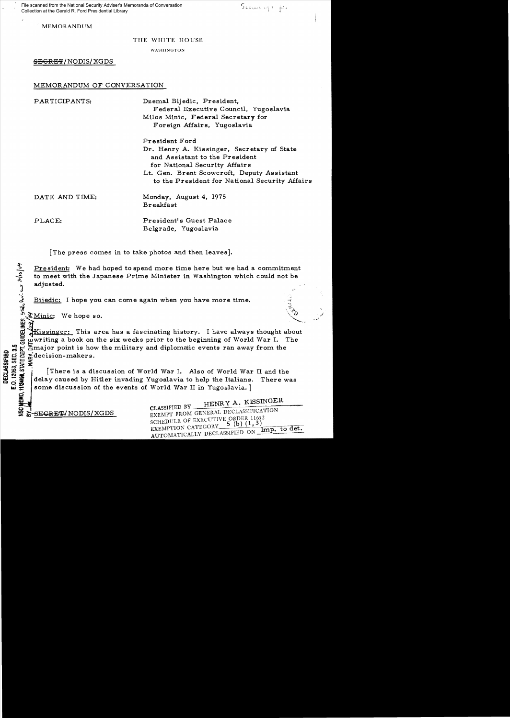File scanned from the National Security Adviser's Memoranda of Conversation Collection at the Gerald R. Ford Presidential Library

MEMORANDUM

#### THE WHITE HOUSE

WASHINGTON

SEGRET/NODIS/XGDS

#### MEMORANDUM OF CONVERSATION

PARTICIPANTS: Dzemal Bijedic, President, Federal Executive Council, Yugoslavia Milos Minic, Federal Secretary for Foreign Affairs, Yugoslavia

> President Ford Dr. Henry A. Kissinger, Secretary of State and Assistant to the President for National Security Affair s Lt. Gen. Brent Scowcroft, Deputy Assistant to the President for National Security Affairs

DATE AND TIME: Monday, August 4, 1975 Breakfast

PLACE: President's Guest Palace Belgrade, Yugoslavia

[The press comes in to take photos and then leaves].

President: We had hoped to spend more time here but we had a commitment to meet with the Japanese Prime Minister in Washington which could not be adjusted. The president: We had hoped to spend more time here but we had<br>to meet with the Japanese Prime Minister in Washington which<br>adjusted.<br> $\frac{3}{2}$ <br>Bijedic: I hope you can come again when you have more time.<br> $\frac{3}{2}$ <br> $\frac{3}{2$ 

SMinic: We hope so.

Wissinger: This area has a fascinating history. I have always thought about writing a book on the six weeks prior to the beginning of World War I. The NEMO, 11/24/98, STATE DEPT.

:  $\frac{1}{2}$  redecision-makers.<br>So  $\frac{1}{2}$  redecision-makers.<br>So  $\frac{1}{2}$  redecision-makers.<br>There is a discussion of World War I. Also of World War II and the<br>consider interest of World War II in Yugoslavia. There we<br>h  $\Sigma_{\text{SUS}}^{\text{GUS}} \simeq \text{decision-makers.}$ <br>  $\text{SUS}^{\text{GUS}} \simeq \text{Im} \left\{ \text{There is a di} \right\}$ <br>  $\text{GUS}^{\text{GUS}} \simeq \text{Im} \left\{ \text{delay caused by F} \right\}$ [There is a discussion of World War I. Also of World War II and the delay caused by Hitler invading Yugoslavia to help the Italians. There was some discussion of the events of World War II in Yugoslavia. ]

HENRY A. KISSINGER

 $\sum_{\text{EXEMPT}}$   $\sum_{\text{EXEMPT}}$   $\sum_{\text{EXEMPT}}$   $\sum_{\text{EXEMPT}}$   $\sum_{\text{EXEMPT}}$   $\sum_{\text{EXEMPT}}$   $\sum_{\text{EXEMPT}}$   $\sum_{\text{EXEMPT}}$   $\sum_{\text{EXEMPT}}$   $\sum_{\text{EXEMPT}}$   $\sum_{\text{EXEMPT}}$   $\sum_{\text{EXEMPT}}$   $\sum_{\text{EXEMPT}}$   $\sum_{\text{EXEMPT}}$   $\sum_{\text{EXEMPT}}$   $\sum_{\text{EXEMPT}}$   $\sum_{\text{EXEMPT}}$  SCHEDULE OF EXECUTIVE ORDER 11652 SCHEDULE OF EXECUTIVE ORDER  $11032$ <br>EXEMPTION CATEGORY  $=$  5 (b)  $(1,3)$  ... Imp. to det. EXEMPTION CATEGORY 3 (b) (1,5)<br>AUTOMATICALLY DECLASSIFIED ON Imp. to det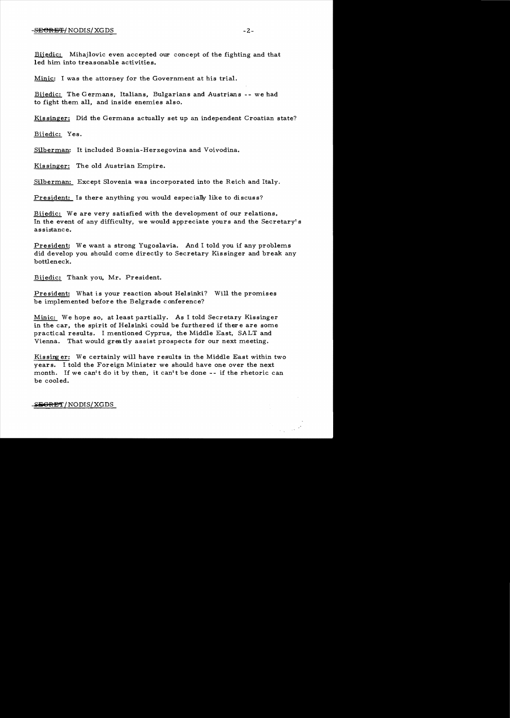Bijedic: Mihajlovic even accepted our concept of the fighting and that led him into treasonable activities.

Minic: I was the attorney for the Government at his trial.

Bijedic: The Germans, Italians, Bulgarians and Austrians -- we had to fight them all, and inside enemies also.

Kissinger: Did the Germans actually set up an independent Croatian state?

Bijedic: Yes.

Silberman: It included Bosnia-Herzegovina and Voivodina.

Kis singer: The old Austrian Empire.

Silberman: Except Slovenia was incorporated into the Reich and Italy.

President: Is there anything you would especially like to discuss?

Bijedic: We are very satisfied with the development of our relations. In the event of any difficulty, we would appreciate yours and the Secretary's assistance.

President: We want a strong Yugoslavia. And I told you if any problems did develop you should come directly to Secretary Kissinger and break any bottleneck.

Bijedic: Thank you, Mr. President.

President: What is your reaction about Helsinki? Will the promises be implemented before the Belgrade conference?

Minic: We hope so, at least partially. As I told Secretary Kissinger in the car, the spirit of Helsinki could be furthered if ther e are some practical results. I mentioned Cyprus, the Middle East, SALT and Vienna. That would greatly assist prospects for our next meeting.

Kissing er: We certainly will have results in the Middle East within two years. I told the Foreign Minister we should have one over the next month. If we can't do it by then, it can't be done  $-$ - if the rhetoric can be cooled.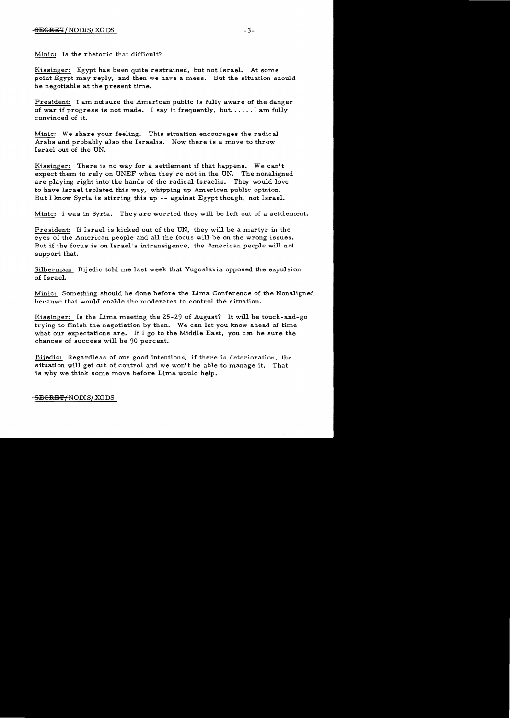### $-3 =$ BEGRET / NODIS/ XG DS  $-3 =$

Minic: Is the rhetoric that difficult?

Kissinger: Egypt has been quite restrained, but not Israel. At some point Egypt may reply, and then we have a mess. But the situation should be negotiable at the present time.

President: I am not sure the American public is fully aware of the danger of war if progress is not made. I say it frequently, but..... I am fully convinced of it.

Minic: We share your feeling. This situation encourages the radical Arabs and probably also the Israelis. Now there is a move to throw Israel out of the UN.

Kissinger: There is no way for a settlement if that happens. We can't expect them to rely on UNEF when they're not in the UN. The nonaligned are playing right into the hands of the radical Israelis. They would love to have Israel isolated this way, whipping up American public opinion. But I know Syria is stirring this up - - against Egypt though, not Israel.

Minic: I was in Syria. They are worried they will be left out of a settlement.

Pre sident: If Israel is kicked out of the UN, they will be a martyr in the eyes of the American people and all the focus will be on the wrong issues. But if the focus is on Israel's intransigence, the American people will not support that.

Silberman: Bijedic told me last week that Yugoslavia opposed the expulsion of Israel.

Minic: Something should be done before the Lima Conference of the Nonaligned because that would enable the moderates to control the situation.

Kissinger: Is the Lima meeting the 25-29 of August? It will be touch-and-go trying to finish the negotiation by then. We can let you know ahead of time what our expectations are. If I go to the Middle East, you can be sure the chances of success will be 90 percent.

Bijedic: Regardless of our good intentions, if there is deterioration, the situation will get out of control and we won't be able to manage it. That is why we think some move before Lima would help.

#### -<del>SEGRET/</del>NODIS/ XGDS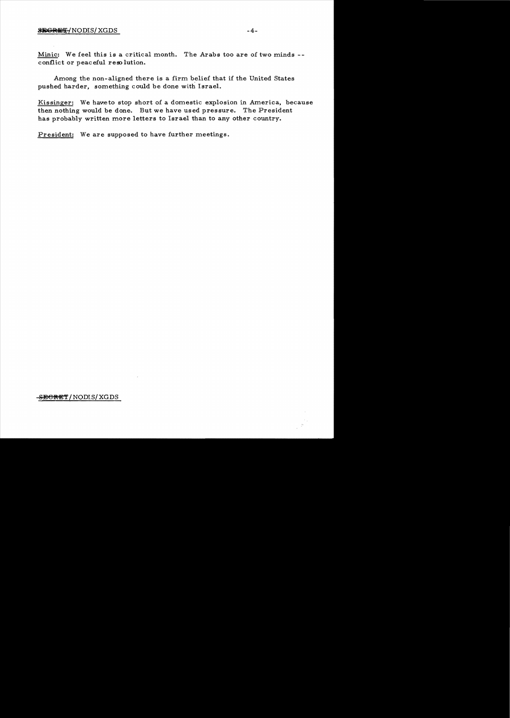Minic: We feel this is a critical month. The Arabs too are of two minds -conflict or peaceful resolution.

Among the non-aligned there is a firm belief that if the United States pushed harder, something could be done with Israel.

Kissinger: We have to stop short of a domestic explosion in America, because then nothing would be done. But we have used pressure. The President has probably written more letters to Israel than to any other country.

President: We are supposed to have further meetings.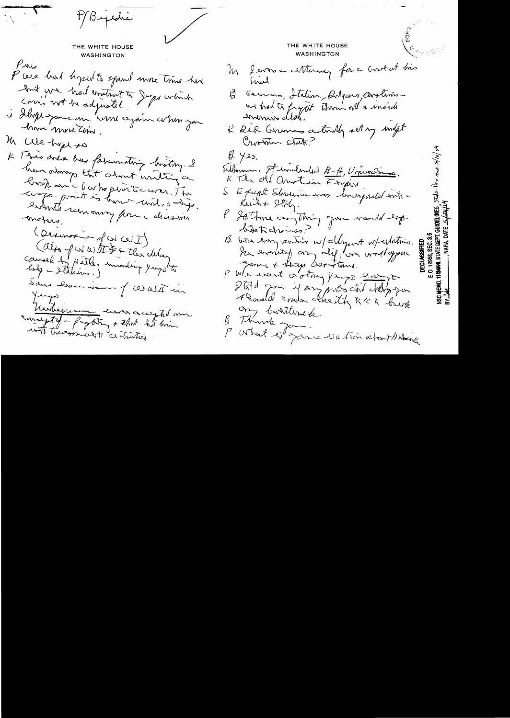MByedie THE WHITE HOUSE THE WHITE HOUSE WASHINGTON **WASHINGTON**  $P_{\text{M}_2}$ In large certainez for a crostat his P we had bysed to spend more time have hral lont une had emitint à Juge colaire B Germans, Italien, Bolgons, Anglinos is dhopp you can "une again when you home more time. K der Grunn autouty set my inft M We hype to Crootner clark? \* Tons area ans favorating brothy. I  $\not\!\!\!\!\beta\not\!\!\!\beta$  yes, Subminen. It widned 8-A, Vircinaine. have ordinary that about writting a K The old Chrotion Empire brosk en c le cortroperaitec com. The component is how und, a days, SE figure Steverna mos inverposited mit Kuch+ Stoly. enterts seen oming from a decession P Sattone anything your world sop. motars. hinterium? (Desurs d'as CUI) B was every sorting w/ dyent w/ whating. Calgo of was the Fo the chlay In evening any dif, we would you Coural by Hetler murding yeogothe Jong + Lecys Overstand. of Whe would orothy people and Sauce Discussion of Walt in Still pour il any probabilitation Roseld cours hearth AKK brink magetel = forting + that he win on bottlined. B Thurch James Maction atout Horse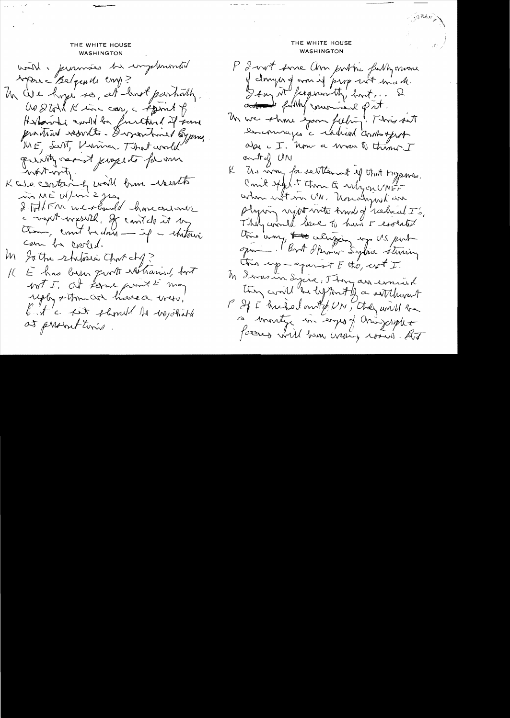THE WHITE HOUSE **WASHINGTON** world, promises be implemented Marc Belginde comp? Un We hope so, at hart partially Go Stort K inc car, a spirit of Herbarrhi awith be furthered of some product resorts. I vontral byprus WE, SUNT, Krammer, That world punty served property for our whtwity. K we centainly will bun really m ME W/m 2 jrs. 2 IND FAR we should homeonlover a vigat virgestel, of control it by Com be cooled. M Sothe schilosia Chorchy? E has been growth railrained, fort IC. WIT I at forme point & may uply +thm and have a verto, but a fit should be wonted at present times.

## THE WHITE HOUSE **WASHINGTON**

P 2-vort some Um porthe farthyomone of draying around prop with made. Stay N / copson My boot, added fully moniced put. Un we show your fieling! This sait encourages a rached and opport also c I. how a woon to think I anty UN K Us non for settlement of that hypnes. Could stap it than & whyou UNEF when with on UN. Usualogued an Plying night with hand of radical I's. They conclud lesse to havi 5 esolated this way, that when you ap US put spring. But Spring Sylace sterring this up-against E the, wit I. M Lores in Syria, They are errored they would "be deftered by a settlement P If I hicked mut from, they will be a montge en empo y unigerale forms will have expire round. At